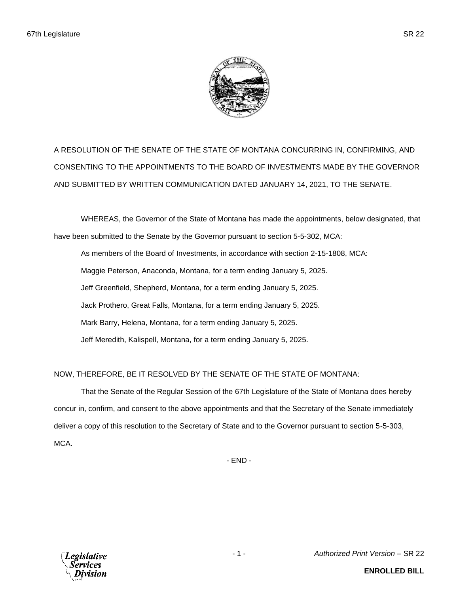

A RESOLUTION OF THE SENATE OF THE STATE OF MONTANA CONCURRING IN, CONFIRMING, AND CONSENTING TO THE APPOINTMENTS TO THE BOARD OF INVESTMENTS MADE BY THE GOVERNOR AND SUBMITTED BY WRITTEN COMMUNICATION DATED JANUARY 14, 2021, TO THE SENATE.

WHEREAS, the Governor of the State of Montana has made the appointments, below designated, that have been submitted to the Senate by the Governor pursuant to section 5-5-302, MCA:

As members of the Board of Investments, in accordance with section 2-15-1808, MCA: Maggie Peterson, Anaconda, Montana, for a term ending January 5, 2025. Jeff Greenfield, Shepherd, Montana, for a term ending January 5, 2025. Jack Prothero, Great Falls, Montana, for a term ending January 5, 2025. Mark Barry, Helena, Montana, for a term ending January 5, 2025. Jeff Meredith, Kalispell, Montana, for a term ending January 5, 2025.

NOW, THEREFORE, BE IT RESOLVED BY THE SENATE OF THE STATE OF MONTANA:

That the Senate of the Regular Session of the 67th Legislature of the State of Montana does hereby concur in, confirm, and consent to the above appointments and that the Secretary of the Senate immediately deliver a copy of this resolution to the Secretary of State and to the Governor pursuant to section 5-5-303, MCA.

- END -



**ENROLLED BILL**

- 1 - *Authorized Print Version* – SR 22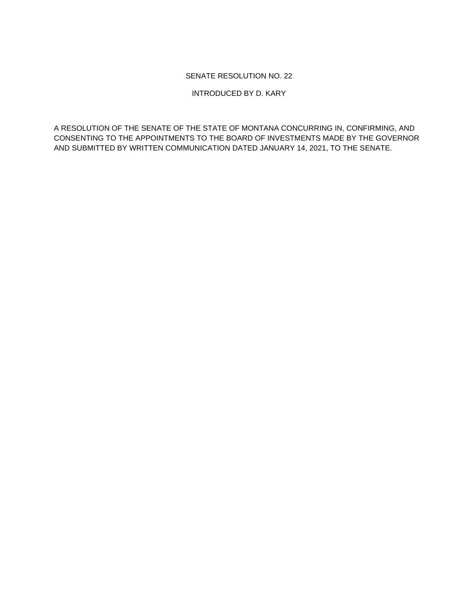## SENATE RESOLUTION NO. 22

INTRODUCED BY D. KARY

A RESOLUTION OF THE SENATE OF THE STATE OF MONTANA CONCURRING IN, CONFIRMING, AND CONSENTING TO THE APPOINTMENTS TO THE BOARD OF INVESTMENTS MADE BY THE GOVERNOR AND SUBMITTED BY WRITTEN COMMUNICATION DATED JANUARY 14, 2021, TO THE SENATE.